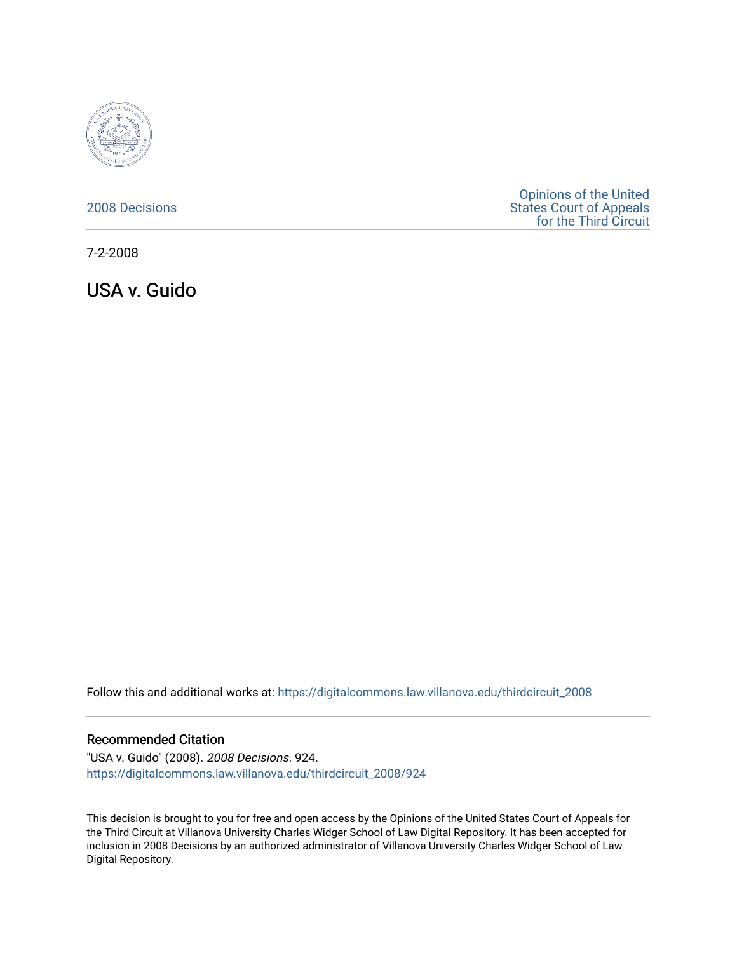

### [2008 Decisions](https://digitalcommons.law.villanova.edu/thirdcircuit_2008)

[Opinions of the United](https://digitalcommons.law.villanova.edu/thirdcircuit)  [States Court of Appeals](https://digitalcommons.law.villanova.edu/thirdcircuit)  [for the Third Circuit](https://digitalcommons.law.villanova.edu/thirdcircuit) 

7-2-2008

USA v. Guido

Follow this and additional works at: [https://digitalcommons.law.villanova.edu/thirdcircuit\\_2008](https://digitalcommons.law.villanova.edu/thirdcircuit_2008?utm_source=digitalcommons.law.villanova.edu%2Fthirdcircuit_2008%2F924&utm_medium=PDF&utm_campaign=PDFCoverPages) 

#### Recommended Citation

"USA v. Guido" (2008). 2008 Decisions. 924. [https://digitalcommons.law.villanova.edu/thirdcircuit\\_2008/924](https://digitalcommons.law.villanova.edu/thirdcircuit_2008/924?utm_source=digitalcommons.law.villanova.edu%2Fthirdcircuit_2008%2F924&utm_medium=PDF&utm_campaign=PDFCoverPages)

This decision is brought to you for free and open access by the Opinions of the United States Court of Appeals for the Third Circuit at Villanova University Charles Widger School of Law Digital Repository. It has been accepted for inclusion in 2008 Decisions by an authorized administrator of Villanova University Charles Widger School of Law Digital Repository.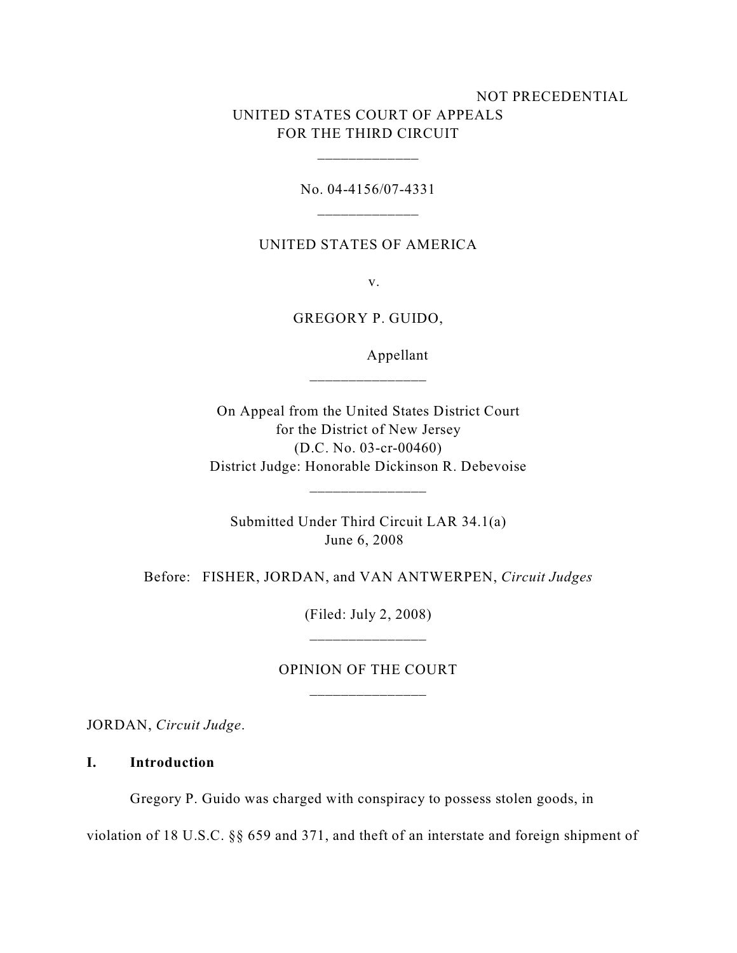# NOT PRECEDENTIAL UNITED STATES COURT OF APPEALS FOR THE THIRD CIRCUIT

No. 04-4156/07-4331 \_\_\_\_\_\_\_\_\_\_\_\_\_

\_\_\_\_\_\_\_\_\_\_\_\_\_

UNITED STATES OF AMERICA

v.

GREGORY P. GUIDO,

Appellant

On Appeal from the United States District Court for the District of New Jersey (D.C. No. 03-cr-00460) District Judge: Honorable Dickinson R. Debevoise

Submitted Under Third Circuit LAR 34.1(a) June 6, 2008

\_\_\_\_\_\_\_\_\_\_\_\_\_\_\_

Before: FISHER, JORDAN, and VAN ANTWERPEN, *Circuit Judges*

(Filed: July 2, 2008) \_\_\_\_\_\_\_\_\_\_\_\_\_\_\_

### OPINION OF THE COURT

JORDAN, *Circuit Judge*.

**I. Introduction** 

Gregory P. Guido was charged with conspiracy to possess stolen goods, in

violation of 18 U.S.C. §§ 659 and 371, and theft of an interstate and foreign shipment of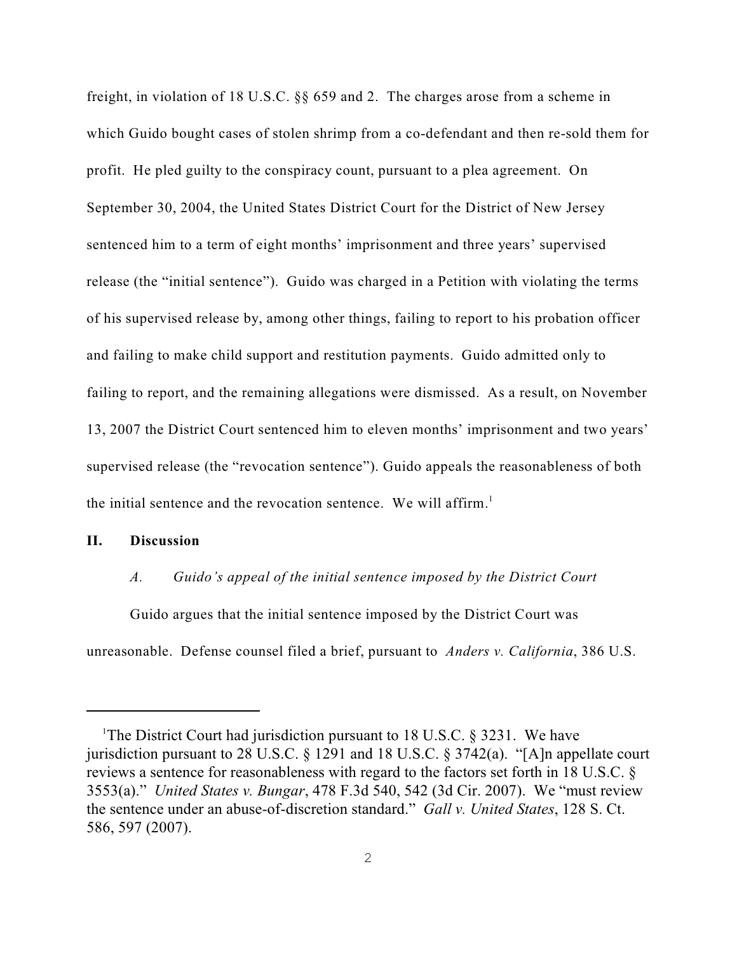freight, in violation of 18 U.S.C. §§ 659 and 2. The charges arose from a scheme in which Guido bought cases of stolen shrimp from a co-defendant and then re-sold them for profit. He pled guilty to the conspiracy count, pursuant to a plea agreement. On September 30, 2004, the United States District Court for the District of New Jersey sentenced him to a term of eight months' imprisonment and three years' supervised release (the "initial sentence"). Guido was charged in a Petition with violating the terms of his supervised release by, among other things, failing to report to his probation officer and failing to make child support and restitution payments. Guido admitted only to failing to report, and the remaining allegations were dismissed. As a result, on November 13, 2007 the District Court sentenced him to eleven months' imprisonment and two years' supervised release (the "revocation sentence"). Guido appeals the reasonableness of both the initial sentence and the revocation sentence. We will affirm.<sup>1</sup>

#### **II. Discussion**

#### *A. Guido's appeal of the initial sentence imposed by the District Court*

Guido argues that the initial sentence imposed by the District Court was unreasonable. Defense counsel filed a brief, pursuant to *Anders v. California*, 386 U.S.

<sup>&</sup>lt;sup>1</sup>The District Court had jurisdiction pursuant to 18 U.S.C.  $\S$  3231. We have jurisdiction pursuant to 28 U.S.C. § 1291 and 18 U.S.C. § 3742(a). "[A]n appellate court reviews a sentence for reasonableness with regard to the factors set forth in 18 U.S.C. § 3553(a)." *United States v. Bungar*, 478 F.3d 540, 542 (3d Cir. 2007). We "must review the sentence under an abuse-of-discretion standard." *Gall v. United States*, 128 S. Ct. 586, 597 (2007).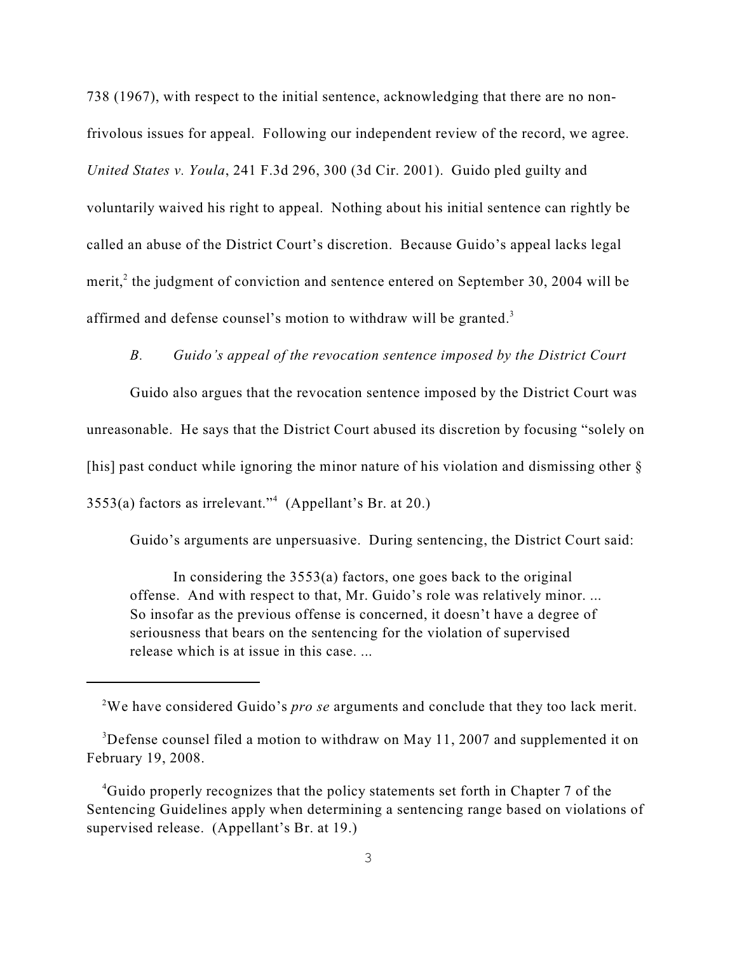738 (1967), with respect to the initial sentence, acknowledging that there are no nonfrivolous issues for appeal. Following our independent review of the record, we agree. *United States v. Youla*, 241 F.3d 296, 300 (3d Cir. 2001). Guido pled guilty and voluntarily waived his right to appeal. Nothing about his initial sentence can rightly be called an abuse of the District Court's discretion. Because Guido's appeal lacks legal merit, $\alpha$  the judgment of conviction and sentence entered on September 30, 2004 will be affirmed and defense counsel's motion to withdraw will be granted. $3$ 

#### *B. Guido's appeal of the revocation sentence imposed by the District Court*

Guido also argues that the revocation sentence imposed by the District Court was unreasonable. He says that the District Court abused its discretion by focusing "solely on [his] past conduct while ignoring the minor nature of his violation and dismissing other  $\delta$  $3553(a)$  factors as irrelevant."<sup>4</sup> (Appellant's Br. at 20.)

Guido's arguments are unpersuasive. During sentencing, the District Court said:

In considering the 3553(a) factors, one goes back to the original offense. And with respect to that, Mr. Guido's role was relatively minor. ... So insofar as the previous offense is concerned, it doesn't have a degree of seriousness that bears on the sentencing for the violation of supervised release which is at issue in this case. ...

We have considered Guido's *pro se* arguments and conclude that they too lack merit. <sup>2</sup>

<sup>&</sup>lt;sup>3</sup>Defense counsel filed a motion to withdraw on May 11, 2007 and supplemented it on February 19, 2008.

 $4$ Guido properly recognizes that the policy statements set forth in Chapter 7 of the Sentencing Guidelines apply when determining a sentencing range based on violations of supervised release. (Appellant's Br. at 19.)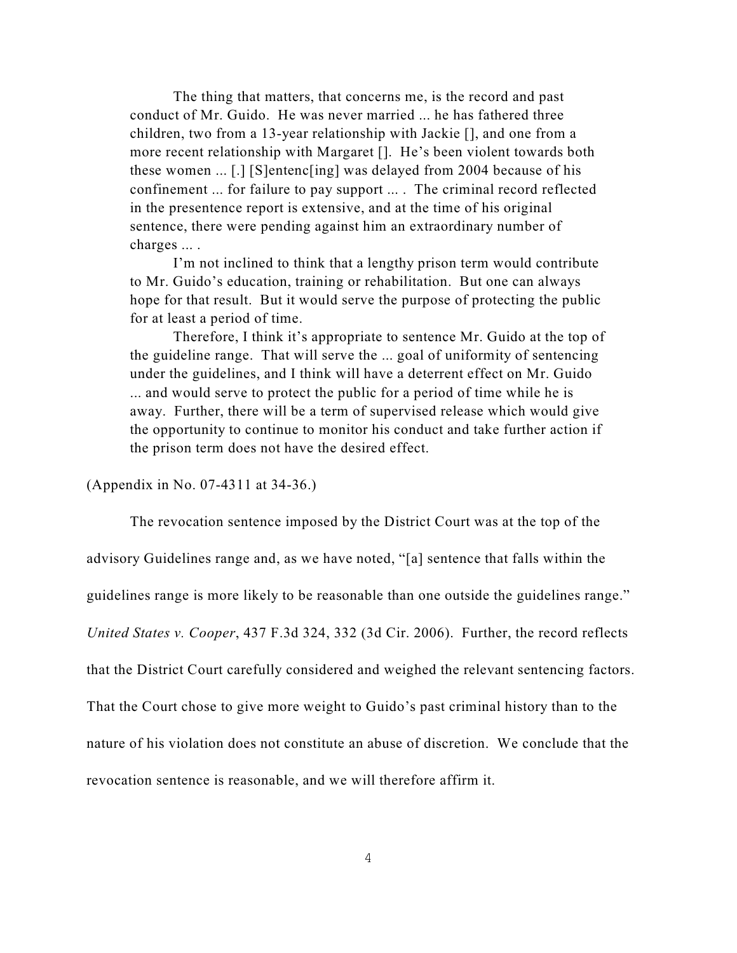The thing that matters, that concerns me, is the record and past conduct of Mr. Guido. He was never married ... he has fathered three children, two from a 13-year relationship with Jackie [], and one from a more recent relationship with Margaret []. He's been violent towards both these women ... [.] [S]entenc[ing] was delayed from 2004 because of his confinement ... for failure to pay support ... . The criminal record reflected in the presentence report is extensive, and at the time of his original sentence, there were pending against him an extraordinary number of charges ... .

I'm not inclined to think that a lengthy prison term would contribute to Mr. Guido's education, training or rehabilitation. But one can always hope for that result. But it would serve the purpose of protecting the public for at least a period of time.

Therefore, I think it's appropriate to sentence Mr. Guido at the top of the guideline range. That will serve the ... goal of uniformity of sentencing under the guidelines, and I think will have a deterrent effect on Mr. Guido ... and would serve to protect the public for a period of time while he is away. Further, there will be a term of supervised release which would give the opportunity to continue to monitor his conduct and take further action if the prison term does not have the desired effect.

(Appendix in No. 07-4311 at 34-36.)

The revocation sentence imposed by the District Court was at the top of the advisory Guidelines range and, as we have noted, "[a] sentence that falls within the guidelines range is more likely to be reasonable than one outside the guidelines range." *United States v. Cooper*, 437 F.3d 324, 332 (3d Cir. 2006). Further, the record reflects that the District Court carefully considered and weighed the relevant sentencing factors. That the Court chose to give more weight to Guido's past criminal history than to the nature of his violation does not constitute an abuse of discretion. We conclude that the revocation sentence is reasonable, and we will therefore affirm it.

4